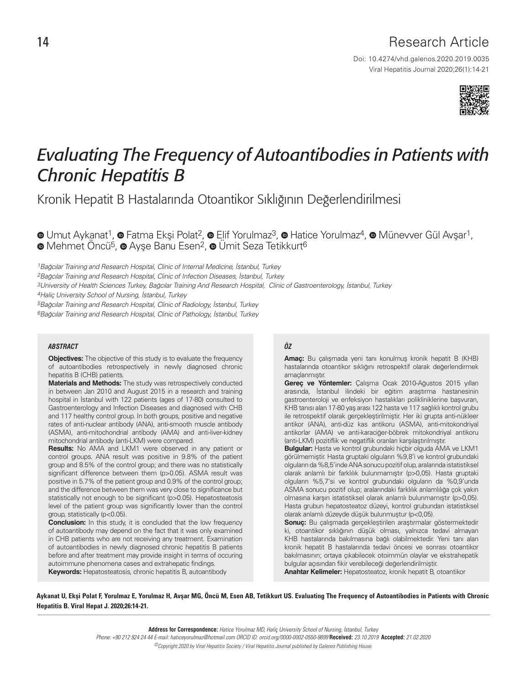## 14 Research Article

Viral Hepatitis Journal 2020;26(1):14-21 Doi: 10.4274/vhd.galenos.2020.2019.0035



# *Evaluating The Frequency of Autoantibodies in Patients with Chronic Hepatitis B*

Kronik Hepatit B Hastalarında Otoantikor Sıklığının Değerlendirilmesi

**.**Umut Aykanat<sup>1</sup>, <sup>o</sup> Fatma Ekşi Polat<sup>2</sup>, <sup>o</sup> Elif Yorulmaz<sup>3</sup>, <sup>o</sup> Hatice Yorulmaz<sup>4</sup>, <sup>o</sup> Münevver Gül Avşar<sup>1</sup>, <sup>■</sup>Mehmet Öncü<sup>5</sup>, ■ Ayse Banu Esen<sup>2</sup>, ■ Ümit Seza Tetikkurt<sup>6</sup>

1Bağcılar Training and Research Hospital, Clinic of Internal Medicine, İstanbul, Turkey

2Bağcılar Training and Research Hospital, Clinic of Infection Diseases, İstanbul, Turkey

3University of Health Sciences Turkey, Bağcılar Training And Research Hospital, Clinic of Gastroenterology, İstanbul, Turkey

4Haliç University School of Nursing, İstanbul, Turkey

5Bağcılar Training and Research Hospital, Clinic of Radiology, İstanbul, Turkey 6Bağcılar Training and Research Hospital, Clinic of Pathology, İstanbul, Turkey

#### *ABSTRACT ÖZ*

**Objectives:** The objective of this study is to evaluate the frequency of autoantibodies retrospectively in newly diagnosed chronic hepatitis B (CHB) patients.

**Materials and Methods:** The study was retrospectively conducted in between Jan 2010 and August 2015 in a research and training hospital in İstanbul with 122 patients (ages of 17-80) consulted to Gastroenterology and Infection Diseases and diagnosed with CHB and 117 healthy control group. In both groups, positive and negative rates of anti-nuclear antibody (ANA), anti-smooth muscle antibody (ASMA), anti-mitochondrial antibody (AMA) and anti-liver-kidney mitochondrial antibody (anti-LKM) were compared.

**Results:** No AMA and LKM1 were observed in any patient or control groups. ANA result was positive in 9.8% of the patient group and 8.5% of the control group; and there was no statistically significant difference between them (p>0.05). ASMA result was positive in 5.7% of the patient group and 0.9% of the control group; and the difference between them was very close to significance but statistically not enough to be significant (p>0.05). Hepatosteatosis level of the patient group was significantly lower than the control group, statistically (p<0.05).

**Conclusion:** In this study, it is concluded that the low frequency of autoantibody may depend on the fact that it was only examined in CHB patients who are not receiving any treatment. Examination of autoantibodies in newly diagnosed chronic hepatitis B patients before and after treatment may provide insight in terms of occuring autoimmune phenomena cases and extrahepatic findings.

**Keywords:** Hepatosteatosis, chronic hepatitis B, autoantibody

**Amaç:** Bu çalışmada yeni tanı konulmuş kronik hepatit B (KHB) hastalarında otoantikor sıklığını retrospektif olarak değerlendirmek amaçlanmıştır.

**Gereç ve Yöntemler:** Çalışma Ocak 2010-Ağustos 2015 yılları arasında, İstanbul ilindeki bir eğitim araştırma hastanesinin gastroenteroloji ve enfeksiyon hastalıkları polikliniklerine başvuran, KHB tanısı alan 17-80 yaş arası 122 hasta ve 117 sağlıklı kontrol grubu ile retrospektif olarak gerçekleştirilmiştir. Her iki grupta anti-nükleer antikor (ANA), anti-düz kas antikoru (ASMA), anti-mitokondriyal antikorlar (AMA) ve anti-karaciğer-böbrek mitokondriyal antikoru (anti-LKM) pozitiflik ve negatiflik oranları karşılaştırılmıştır.

**Bulgular:** Hasta ve kontrol grubundaki hiçbir olguda AMA ve LKM1 görülmemiştir. Hasta gruptaki olguların %9,8'i ve kontrol grubundaki olguların da %8,5'inde ANA sonucu pozitif olup, aralarında istatistiksel olarak anlamlı bir farklılık bulunmamıştır (p>0,05). Hasta gruptaki olguların %5,7'si ve kontrol grubundaki olguların da %0,9'unda ASMA sonucu pozitif olup; aralarındaki farklılık anlamlılığa çok yakın olmasına karşın istatistiksel olarak anlamlı bulunmamıştır (p>0,05). Hasta grubun hepatosteatoz düzeyi, kontrol grubundan istatistiksel olarak anlamlı düzeyde düşük bulunmuştur (p<0,05).

**Sonuç:** Bu çalışmada gerçekleştirilen araştırmalar göstermektedir ki, otoantikor sıklığının düşük olması, yalnızca tedavi almayan KHB hastalarında bakılmasına bağlı olabilmektedir. Yeni tanı alan kronik hepatit B hastalarında tedavi öncesi ve sonrası otoantikor bakılmasının; ortaya çıkabilecek otoimmün olaylar ve ekstrahepatik bulgular açısından fikir verebileceği değerlendirilmiştir.

**Anahtar Kelimeler:** Hepatosteatoz, kronik hepatit B, otoantikor

Aykanat U, Ekşi Polat F, Yorulmaz E, Yorulmaz H, Avşar MG, Öncü M, Esen AB, Tetikkurt US. Evaluating The Frequency of Autoantibodies in Patients with Chronic Hepatitis B. Viral Hepat J. 2020;26:14-21.

> **Address for Correspondence:** Hatice Yorulmaz MD, Haliç University School of Nursing, İstanbul, Turkey Phone: +90 212 924 24 44 E-mail: haticeyorulmaz@hotmail.com ORCID ID: orcid.org/0000-0002-0550-9899 **Received:** 23.10.2019 **Accepted:** 21.02.2020 ©Copyright 2020 by Viral Hepatitis Society / Viral Hepatitis Journal published by Galenos Publishing House.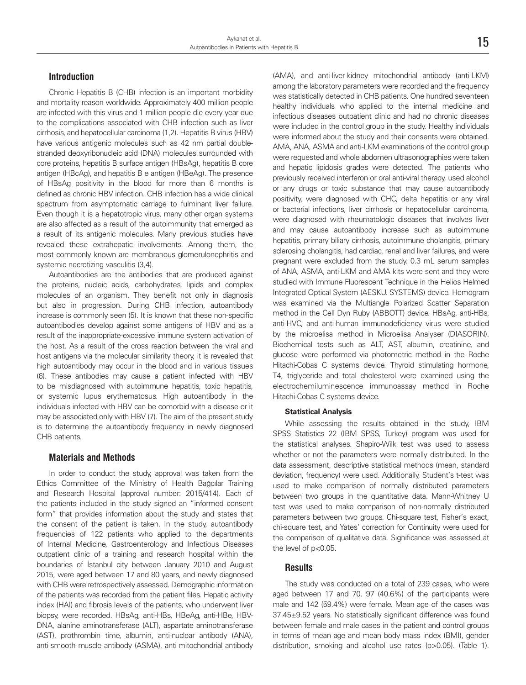#### **Introduction**

Chronic Hepatitis B (CHB) infection is an important morbidity and mortality reason worldwide. Approximately 400 million people are infected with this virus and 1 million people die every year due to the complications associated with CHB infection such as liver cirrhosis, and hepatocellular carcinoma (1,2). Hepatitis B virus (HBV) have various antigenic molecules such as 42 nm partial doublestranded deoxyribonucleic acid (DNA) molecules surrounded with core proteins, hepatitis B surface antigen (HBsAg), hepatitis B core antigen (HBcAg), and hepatitis B e antigen (HBeAg). The presence of HBsAg positivity in the blood for more than 6 months is defined as chronic HBV infection. CHB infection has a wide clinical spectrum from asymptomatic carriage to fulminant liver failure. Even though it is a hepatotropic virus, many other organ systems are also affected as a result of the autoimmunity that emerged as a result of its antigenic molecules. Many previous studies have revealed these extrahepatic involvements. Among them, the most commonly known are membranous glomerulonephritis and systemic necrotizing vasculitis (3,4).

Autoantibodies are the antibodies that are produced against the proteins, nucleic acids, carbohydrates, lipids and complex molecules of an organism. They benefit not only in diagnosis but also in progression. During CHB infection, autoantibody increase is commonly seen (5). It is known that these non-specific autoantibodies develop against some antigens of HBV and as a result of the inappropriate-excessive immune system activation of the host. As a result of the cross reaction between the viral and host antigens via the molecular similarity theory, it is revealed that high autoantibody may occur in the blood and in various tissues (6). These antibodies may cause a patient infected with HBV to be misdiagnosed with autoimmune hepatitis, toxic hepatitis, or systemic lupus erythematosus. High autoantibody in the individuals infected with HBV can be comorbid with a disease or it may be associated only with HBV (7). The aim of the present study is to determine the autoantibody frequency in newly diagnosed CHB patients.

#### **Materials and Methods**

In order to conduct the study, approval was taken from the Ethics Committee of the Ministry of Health Bağcılar Training and Research Hospital (approval number: 2015/414). Each of the patients included in the study signed an "informed consent form" that provides information about the study and states that the consent of the patient is taken. In the study, autoantibody frequencies of 122 patients who applied to the departments of Internal Medicine, Gastroenterology and Infectious Diseases outpatient clinic of a training and research hospital within the boundaries of İstanbul city between January 2010 and August 2015, were aged between 17 and 80 years, and newly diagnosed with CHB were retrospectively assessed. Demographic information of the patients was recorded from the patient files. Hepatic activity index (HAI) and fibrosis levels of the patients, who underwent liver biopsy, were recorded. HBsAg, anti-HBs, HBeAg, anti-HBe, HBV-DNA, alanine aminotransferase (ALT), aspartate aminotransferase (AST), prothrombin time, albumin, anti-nuclear antibody (ANA), anti-smooth muscle antibody (ASMA), anti-mitochondrial antibody

(AMA), and anti-liver-kidney mitochondrial antibody (anti-LKM) among the laboratory parameters were recorded and the frequency was statistically detected in CHB patients. One hundred seventeen healthy individuals who applied to the internal medicine and infectious diseases outpatient clinic and had no chronic diseases were included in the control group in the study. Healthy individuals were informed about the study and their consents were obtained. AMA, ANA, ASMA and anti-LKM examinations of the control group were requested and whole abdomen ultrasonographies were taken and hepatic lipidosis grades were detected. The patients who previously received interferon or oral anti-viral therapy, used alcohol or any drugs or toxic substance that may cause autoantibody positivity, were diagnosed with CHC, delta hepatitis or any viral or bacterial infections, liver cirrhosis or hepatocellular carcinoma, were diagnosed with rheumatologic diseases that involves liver and may cause autoantibody increase such as autoimmune hepatitis, primary biliary cirrhosis, autoimmune cholangitis, primary sclerosing cholangitis, had cardiac, renal and liver failures, and were pregnant were excluded from the study. 0.3 mL serum samples of ANA, ASMA, anti-LKM and AMA kits were sent and they were studied with Immune Fluorescent Technique in the Helios Helmed Integrated Optical System (AESKU. SYSTEMS) device. Hemogram was examined via the Multiangle Polarized Scatter Separation method in the Cell Dyn Ruby (ABBOTT) device. HBsAg, anti-HBs, anti-HVC, and anti-human immunodeficiency virus were studied by the microelisa method in Microelisa Analyser (DIASORIN). Biochemical tests such as ALT, AST, albumin, creatinine, and glucose were performed via photometric method in the Roche Hitachi-Cobas C systems device. Thyroid stimulating hormone, T4, triglyceride and total cholesterol were examined using the electrochemiluminescence immunoassay method in Roche Hitachi-Cobas C systems device.

#### **Statistical Analysis**

While assessing the results obtained in the study, IBM SPSS Statistics 22 (IBM SPSS, Turkey) program was used for the statistical analyses. Shapiro-Wilk test was used to assess whether or not the parameters were normally distributed. In the data assessment, descriptive statistical methods (mean, standard deviation, frequency) were used. Additionally, Student's t-test was used to make comparison of normally distributed parameters between two groups in the quantitative data. Mann-Whitney U test was used to make comparison of non-normally distributed parameters between two groups. Chi-square test, Fisher's exact, chi-square test, and Yates' correction for Continuity were used for the comparison of qualitative data. Significance was assessed at the level of p<0.05.

#### **Results**

The study was conducted on a total of 239 cases, who were aged between 17 and 70. 97 (40.6%) of the participants were male and 142 (59.4%) were female. Mean age of the cases was 37.45±9.52 years. No statistically significant difference was found between female and male cases in the patient and control groups in terms of mean age and mean body mass index (BMI), gender distribution, smoking and alcohol use rates (p>0.05). (Table 1).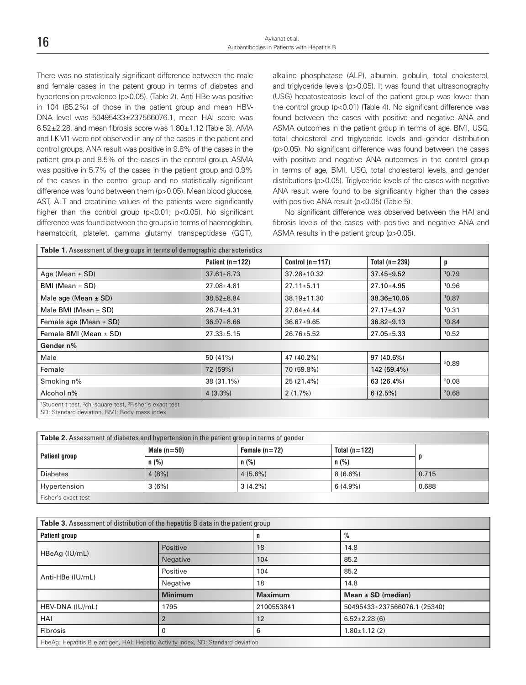There was no statistically significant difference between the male and female cases in the patent group in terms of diabetes and hypertension prevalence (p>0.05). (Table 2). Anti-HBe was positive in 104 (85.2%) of those in the patient group and mean HBV-DNA level was 50495433±237566076.1, mean HAI score was 6.52±2.28, and mean fibrosis score was 1.80±1.12 (Table 3). AMA and LKM1 were not observed in any of the cases in the patient and control groups. ANA result was positive in 9.8% of the cases in the patient group and 8.5% of the cases in the control group. ASMA was positive in 5.7% of the cases in the patient group and 0.9% of the cases in the control group and no statistically significant difference was found between them (p>0.05). Mean blood glucose, AST, ALT and creatinine values of the patients were significantly higher than the control group (p<0.01; p<0.05). No significant difference was found between the groups in terms of haemoglobin, haematocrit, platelet, gamma glutamyl transpeptidase (GGT),

alkaline phosphatase (ALP), albumin, globulin, total cholesterol, and triglyceride levels (p>0.05). It was found that ultrasonography (USG) hepatosteatosis level of the patient group was lower than the control group (p<0.01) (Table 4). No significant difference was found between the cases with positive and negative ANA and ASMA outcomes in the patient group in terms of age, BMI, USG, total cholesterol and triglyceride levels and gender distribution (p>0.05). No significant difference was found between the cases with positive and negative ANA outcomes in the control group in terms of age, BMI, USG, total cholesterol levels, and gender distributions (p>0.05). Triglyceride levels of the cases with negative ANA result were found to be significantly higher than the cases with positive ANA result (p<0.05) (Table 5).

No significant difference was observed between the HAI and fibrosis levels of the cases with positive and negative ANA and ASMA results in the patient group (p>0.05).

|                            | Patient $(n=122)$ | Control $(n=117)$ | Total $(n=239)$   | p     |  |
|----------------------------|-------------------|-------------------|-------------------|-------|--|
| Age (Mean $\pm$ SD)        | $37.61 \pm 8.73$  | $37.28 \pm 10.32$ | $37.45 \pm 9.52$  | 10.79 |  |
| $BMI$ (Mean $\pm$ SD)      | $27.08 \pm 4.81$  | $27.11 \pm 5.11$  | $27.10 \pm 4.95$  | 10.96 |  |
| Male age (Mean $\pm$ SD)   | $38.52 \pm 8.84$  | $38.19 \pm 11.30$ | $38.36 \pm 10.05$ | 10.87 |  |
| Male BMI (Mean $\pm$ SD)   | $26.74 \pm 4.31$  | $27.64 \pm 4.44$  | $27.17 \pm 4.37$  | 10.31 |  |
| Female age (Mean $\pm$ SD) | $36.97 \pm 8.66$  | $36.67 \pm 9.65$  | $36.82 \pm 9.13$  | 10.84 |  |
| Female BMI (Mean $\pm$ SD) | $27.33 \pm 5.15$  | $26.76 \pm 5.52$  | $27.05 \pm 5.33$  | 10.52 |  |
| Gender n%                  |                   |                   |                   |       |  |
| Male                       | 50 (41%)          | 47 (40.2%)        | 97 (40.6%)        |       |  |
| Female                     | 72 (59%)          | 70 (59.8%)        | 142 (59.4%)       | 20.89 |  |
| Smoking n%                 | 38 (31.1%)        | 25 (21.4%)        | 63 (26.4%)        | 20.08 |  |
| Alcohol n%                 | $4(3.3\%)$        | 2(1.7%)           | 6(2.5%)           | 30.68 |  |

| <b>Table 2.</b> Assessment of diabetes and hypertension in the patient group in terms of gender |               |                 |                 |       |
|-------------------------------------------------------------------------------------------------|---------------|-----------------|-----------------|-------|
| Patient group                                                                                   | Male $(n=50)$ | Female $(n=72)$ | Total $(n=122)$ |       |
|                                                                                                 | n(%)          | n(%)            | n(%)            |       |
| <b>Diabetes</b>                                                                                 | 4(8%)         | $4(5.6\%)$      | $8(6.6\%)$      | 0.715 |
| Hypertension                                                                                    | 3(6%)         | $3(4.2\%)$      | $6(4.9\%)$      | 0.688 |
| Fisher's exact test                                                                             |               |                 |                 |       |

| Table 3. Assessment of distribution of the hepatitis B data in the patient group  |                 |                |                              |  |
|-----------------------------------------------------------------------------------|-----------------|----------------|------------------------------|--|
| %<br><b>Patient group</b><br>n                                                    |                 |                |                              |  |
| HBeAg (IU/mL)                                                                     | Positive        | 18             | 14.8                         |  |
|                                                                                   | <b>Negative</b> | 104            | 85.2                         |  |
| Anti-HBe (IU/mL)                                                                  | Positive        | 104            | 85.2                         |  |
|                                                                                   | Negative        | 18             | 14.8                         |  |
|                                                                                   | <b>Minimum</b>  | <b>Maximum</b> | Mean $\pm$ SD (median)       |  |
| HBV-DNA (IU/mL)                                                                   | 1795            | 2100553841     | 50495433±237566076.1 (25340) |  |
| HAI                                                                               |                 | 12             | $6.52 \pm 2.28$ (6)          |  |
| Fibrosis                                                                          |                 | 6              | $1.80 \pm 1.12$ (2)          |  |
| HbeAq: Hepatitis B e antigen, HAI: Hepatic Activity index, SD: Standard deviation |                 |                |                              |  |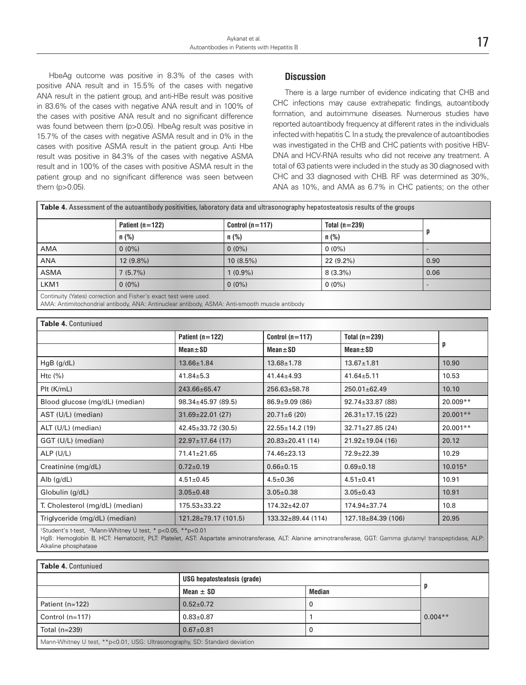HbeAg outcome was positive in 8.3% of the cases with positive ANA result and in 15.5% of the cases with negative ANA result in the patient group, and anti-HBe result was positive in 83.6% of the cases with negative ANA result and in 100% of the cases with positive ANA result and no significant difference was found between them (p>0.05). HbeAg result was positive in 15.7% of the cases with negative ASMA result and in 0% in the cases with positive ASMA result in the patient group. Anti Hbe result was positive in 84.3% of the cases with negative ASMA result and in 100% of the cases with positive ASMA result in the patient group and no significant difference was seen between them (p>0.05).

### **Discussion**

There is a large number of evidence indicating that CHB and CHC infections may cause extrahepatic findings, autoantibody formation, and autoimmune diseases. Numerous studies have reported autoantibody frequency at different rates in the individuals infected with hepatitis C. In a study, the prevalence of autoantibodies was investigated in the CHB and CHC patients with positive HBV-DNA and HCV-RNA results who did not receive any treatment. A total of 63 patients were included in the study as 30 diagnosed with CHC and 33 diagnosed with CHB. RF was determined as 30%, ANA as 10%, and AMA as 6.7% in CHC patients; on the other

| <b>Table 4.</b> Assessment of the autoantibody positivities, laboratory data and ultrasonography hepatosteatosis results of the groups |                                                                  |                   |                 |      |
|----------------------------------------------------------------------------------------------------------------------------------------|------------------------------------------------------------------|-------------------|-----------------|------|
|                                                                                                                                        | Patient $(n=122)$                                                | Control $(n=117)$ | Total $(n=239)$ |      |
|                                                                                                                                        | n (%)                                                            | $n$ (%)           | $n$ (%)         |      |
| AMA                                                                                                                                    | $0(0\%)$                                                         | $0(0\%)$          | $0(0\%)$        |      |
| <b>ANA</b>                                                                                                                             | 12 (9.8%)                                                        | $10(8.5\%)$       | $22(9.2\%)$     | 0.90 |
| ASMA                                                                                                                                   | 7(5.7%)                                                          | $1(0.9\%)$        | $8(3.3\%)$      | 0.06 |
| LKM1                                                                                                                                   | $0(0\%)$                                                         | $0(0\%)$          | $0(0\%)$        |      |
|                                                                                                                                        | Continuity (Yates) correction and Fisher's exact test were used. |                   |                 |      |

AMA: Antimitochondrial antibody, ANA: Antinuclear antibody, ASMA: Anti-smooth muscle antibody

| <b>Table 4. Contuniued</b>      |                                                           |                          |                        |            |
|---------------------------------|-----------------------------------------------------------|--------------------------|------------------------|------------|
|                                 | Patient $(n=122)$<br>Control $(n=117)$<br>Total $(n=239)$ |                          |                        |            |
|                                 | $Mean \pm SD$                                             | $Mean \pm SD$            | $Mean \pm SD$          | p          |
| $HgB$ ( $g/dL$ )                | $13.66 \pm 1.84$                                          | $13.68 \pm 1.78$         | $13.67 \pm 1.81$       | 10.90      |
| Htc $(\%)$                      | $41.84 \pm 5.3$                                           | $41.44 \pm 4.93$         | $41.64 \pm 5.11$       | 10.53      |
| $P$ It ( $K/mL$ )               | 243.66±65.47                                              | $256.63 \pm 58.78$       | 250.01±62.49           | 10.10      |
| Blood glucose (mg/dL) (median)  | $98.34 \pm 45.97$ (89.5)                                  | $86.9 \pm 9.09$ (86)     | $92.74 \pm 33.87$ (88) | 20.009**   |
| AST (U/L) (median)              | $31.69 \pm 22.01$ (27)                                    | $20.71 \pm 6(20)$        | $26.31 \pm 17.15$ (22) | $20.001**$ |
| ALT (U/L) (median)              | $42.45 \pm 33.72$ (30.5)                                  | $22.55 \pm 14.2$ (19)    | $32.71 \pm 27.85$ (24) | 20.001**   |
| GGT (U/L) (median)              | $22.97 \pm 17.64$ (17)                                    | $20.83 \pm 20.41$ (14)   | $21.92 \pm 19.04$ (16) | 20.12      |
| ALP(U/L)                        | $71.41 \pm 21.65$                                         | 74.46±23.13              | $72.9 \pm 22.39$       | 10.29      |
| Creatinine (mg/dL)              | $0.72 \pm 0.19$                                           | $0.66 \pm 0.15$          | $0.69 \pm 0.18$        | $10.015*$  |
| Alb $(g/dL)$                    | $4.51 \pm 0.45$                                           | $4.5 \pm 0.36$           | $4.51 \pm 0.41$        | 10.91      |
| Globulin (g/dL)                 | $3.05 \pm 0.48$                                           | $3.05 \pm 0.38$          | $3.05 \pm 0.43$        | 10.91      |
| T. Cholesterol (mg/dL) (median) | $175.53 \pm 33.22$                                        | $174.32 \pm 42.07$       | 174.94±37.74           | 10.8       |
| Triglyceride (mg/dL) (median)   | $121.28 \pm 79.17$ (101.5)                                | $133.32 \pm 89.44$ (114) | 127.18±84.39 (106)     | 20.95      |

1 Student's t-test, 2 Mann-Whitney U test, \* p<0.05, \*\*p<0.01

HgB: Hemoglobin B, HCT: Hematocrit, PLT: Platelet, AST: Aspartate aminotransferase, ALT: Alanine aminotransferase, GGT: Gamma glutamyl transpeptidase, ALP: Alkaline phosphatase

| <b>Table 4. Contuniued</b>                                                  |                             |               |           |  |  |
|-----------------------------------------------------------------------------|-----------------------------|---------------|-----------|--|--|
|                                                                             | USG hepatosteatosis (grade) |               |           |  |  |
|                                                                             | Mean $\pm$ SD               | <b>Median</b> |           |  |  |
| Patient (n=122)                                                             | $0.52 \pm 0.72$             | υ             |           |  |  |
| Control $(n=117)$                                                           | $0.83 + 0.87$               |               | $0.004**$ |  |  |
| Total (n=239)                                                               | $0.67 \pm 0.81$             | υ             |           |  |  |
| Mann-Whitney U test, **p<0.01, USG: Ultrasonography, SD: Standard deviation |                             |               |           |  |  |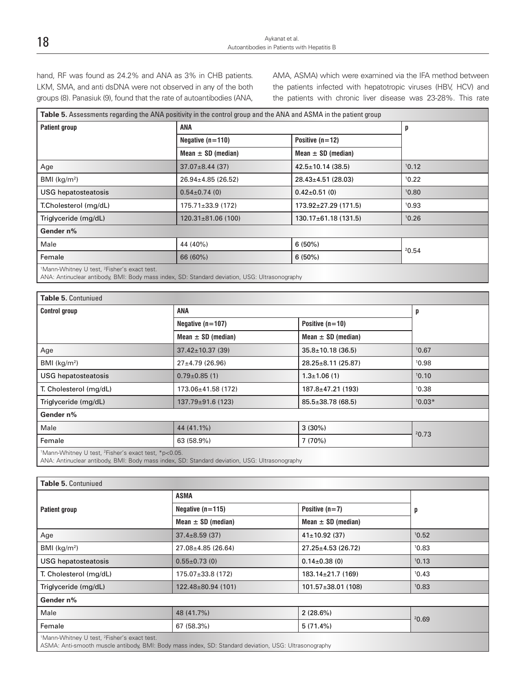hand, RF was found as 24.2% and ANA as 3% in CHB patients. LKM, SMA, and anti dsDNA were not observed in any of the both groups (8). Panasiuk (9), found that the rate of autoantibodies (ANA, AMA, ASMA) which were examined via the IFA method between the patients infected with hepatotropic viruses (HBV, HCV) and the patients with chronic liver disease was 23-28%. This rate

| Table 5. Assessments regarding the ANA positivity in the control group and the ANA and ASMA in the patient group |                          |                            |       |
|------------------------------------------------------------------------------------------------------------------|--------------------------|----------------------------|-------|
| <b>Patient group</b>                                                                                             | <b>ANA</b>               |                            | p     |
|                                                                                                                  | Negative $(n=110)$       | Positive $(n=12)$          |       |
|                                                                                                                  | Mean $\pm$ SD (median)   | Mean $\pm$ SD (median)     |       |
| Age                                                                                                              | $37.07 \pm 8.44$ (37)    | $42.5 \pm 10.14$ (38.5)    | 10.12 |
| BMI (kg/m <sup>2</sup> )                                                                                         | $26.94 \pm 4.85$ (26.52) | $28.43 \pm 4.51$ (28.03)   | 10.22 |
| <b>USG hepatosteatosis</b>                                                                                       | $0.54 \pm 0.74$ (0)      | $0.42 \pm 0.51$ (0)        | 10.80 |
| T.Cholesterol (mg/dL)                                                                                            | $175.71 \pm 33.9$ (172)  | $173.92 \pm 27.29$ (171.5) | 10.93 |
| Triglyceride (mg/dL)                                                                                             | $120.31\pm81.06(100)$    | $130.17 \pm 61.18$ (131.5) | 10.26 |
| Gender n%                                                                                                        |                          |                            |       |
| Male                                                                                                             | 44 (40%)                 | 6(50%)                     | 20.54 |
| Female                                                                                                           | 66 (60%)                 | 6(50%)                     |       |
|                                                                                                                  |                          |                            |       |

<sup>1</sup>Mann-Whitney U test, <sup>2</sup>Fisher's exact test.

ANA: Antinuclear antibody, BMI: Body mass index, SD: Standard deviation, USG: Ultrasonography

| Table 5. Contuniued                                                          |                         |                         |          |  |
|------------------------------------------------------------------------------|-------------------------|-------------------------|----------|--|
| <b>Control group</b>                                                         | <b>ANA</b>              | p                       |          |  |
|                                                                              | Negative $(n=107)$      | Positive $(n=10)$       |          |  |
|                                                                              | Mean $\pm$ SD (median)  | Mean $\pm$ SD (median)  |          |  |
| Age                                                                          | $37.42 \pm 10.37$ (39)  | $35.8 \pm 10.18$ (36.5) | 10.67    |  |
| BMI ( $kg/m2$ )                                                              | $27 \pm 4.79$ (26.96)   | 28.25±8.11 (25.87)      | 10.98    |  |
| <b>USG</b> hepatosteatosis                                                   | $0.79 \pm 0.85$ (1)     | $1.3 \pm 1.06(1)$       | 10.10    |  |
| T. Cholesterol (mg/dL)                                                       | 173.06±41.58 (172)      | 187.8±47.21 (193)       | 10.38    |  |
| Triglyceride (mg/dL)                                                         | $137.79 \pm 91.6$ (123) | $85.5 \pm 38.78$ (68.5) | $10.03*$ |  |
| Gender n%                                                                    |                         |                         |          |  |
| Male                                                                         | 44 (41.1%)              | 3(30%)                  | 20.73    |  |
| Female                                                                       | 63 (58.9%)              | 7 (70%)                 |          |  |
| <sup>1</sup> Mann-Whitney U test, <sup>2</sup> Fisher's exact test, *p<0.05. |                         |                         |          |  |

ANA: Antinuclear antibody, BMI: Body mass index, SD: Standard deviation, USG: Ultrasonography

| Table 5. Contuniued                                                 |                          |                          |       |
|---------------------------------------------------------------------|--------------------------|--------------------------|-------|
|                                                                     | <b>ASMA</b>              |                          |       |
| Patient group                                                       | Negative $(n=115)$       | Positive $(n=7)$         | p     |
|                                                                     | Mean $\pm$ SD (median)   | Mean $\pm$ SD (median)   |       |
| Age                                                                 | $37.4 \pm 8.59$ (37)     | $41 \pm 10.92$ (37)      | 10.52 |
| BMI ( $kg/m2$ )                                                     | $27.08 \pm 4.85$ (26.64) | $27.25 \pm 4.53$ (26.72) | 10.83 |
| <b>USG</b> hepatosteatosis                                          | $0.55 \pm 0.73$ (0)      | $0.14 \pm 0.38(0)$       | 10.13 |
| T. Cholesterol (mg/dL)                                              | $175.07 \pm 33.8$ (172)  | $183.14 \pm 21.7$ (169)  | 10.43 |
| Triglyceride (mg/dL)                                                | 122.48±80.94 (101)       | $101.57 \pm 38.01$ (108) | 10.83 |
| Gender n%                                                           |                          |                          |       |
| Male                                                                | 48 (41.7%)               | $2(28.6\%)$              | 20.69 |
| Female                                                              | 67 (58.3%)               | 5(71.4%)                 |       |
| <sup>1</sup> Mann-Whitney U test, <sup>2</sup> Fisher's exact test. |                          |                          |       |

ASMA: Anti-smooth muscle antibody, BMI: Body mass index, SD: Standard deviation, USG: Ultrasonography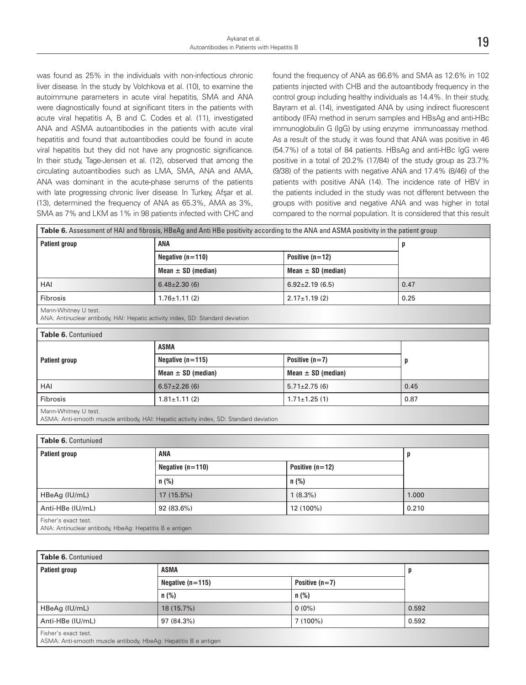was found as 25% in the individuals with non-infectious chronic liver disease. In the study by Volchkova et al. (10), to examine the autoimmune parameters in acute viral hepatitis, SMA and ANA were diagnostically found at significant titers in the patients with acute viral hepatitis A, B and C. Codes et al. (11), investigated ANA and ASMA autoantibodies in the patients with acute viral hepatitis and found that autoantibodies could be found in acute viral hepatitis but they did not have any prognostic significance. In their study, Tage-Jensen et al. (12), observed that among the circulating autoantibodies such as LMA, SMA, ANA and AMA, ANA was dominant in the acute-phase serums of the patients with late progressing chronic liver disease. In Turkey, Afşar et al. (13), determined the frequency of ANA as 65.3%, AMA as 3%, SMA as 7% and LKM as 1% in 98 patients infected with CHC and

found the frequency of ANA as 66.6% and SMA as 12.6% in 102 patients injected with CHB and the autoantibody frequency in the control group including healthy individuals as 14.4%. In their study, Bayram et al. (14), investigated ANA by using indirect fluorescent antibody (IFA) method in serum samples and HBsAg and anti-HBc immunoglobulin G (IgG) by using enzyme immunoassay method. As a result of the study, it was found that ANA was positive in 46 (54.7%) of a total of 84 patients. HBsAg and anti-HBc IgG were positive in a total of 20.2% (17/84) of the study group as 23.7% (9/38) of the patients with negative ANA and 17.4% (8/46) of the patients with positive ANA (14). The incidence rate of HBV in the patients included in the study was not different between the groups with positive and negative ANA and was higher in total compared to the normal population. It is considered that this result

|                                                                                                                | Table 6. Assessment of HAI and fibrosis, HBeAg and Anti HBe positivity according to the ANA and ASMA positivity in the patient group |                        |      |  |
|----------------------------------------------------------------------------------------------------------------|--------------------------------------------------------------------------------------------------------------------------------------|------------------------|------|--|
| <b>Patient group</b>                                                                                           | <b>ANA</b>                                                                                                                           |                        | p    |  |
|                                                                                                                | Negative $(n=110)$                                                                                                                   | Positive $(n=12)$      |      |  |
|                                                                                                                | Mean $\pm$ SD (median)                                                                                                               | Mean $\pm$ SD (median) |      |  |
| HAI                                                                                                            | $6.48 \pm 2.30$ (6)                                                                                                                  | $6.92 \pm 2.19$ (6.5)  | 0.47 |  |
| <b>Fibrosis</b>                                                                                                | $1.76 \pm 1.11$ (2)                                                                                                                  | $2.17 \pm 1.19$ (2)    | 0.25 |  |
| Mann-Whitney U test.<br>ANA: Antinuclear antibody, HAI: Hepatic activity index, SD: Standard deviation         |                                                                                                                                      |                        |      |  |
| Table 6. Contuniued                                                                                            |                                                                                                                                      |                        |      |  |
|                                                                                                                | <b>ASMA</b>                                                                                                                          |                        |      |  |
| <b>Patient group</b>                                                                                           | Negative $(n=115)$                                                                                                                   | Positive $(n=7)$       | p    |  |
|                                                                                                                | Mean $\pm$ SD (median)                                                                                                               | Mean $\pm$ SD (median) |      |  |
| HAI                                                                                                            | $6.57 \pm 2.26$ (6)                                                                                                                  | $5.71 \pm 2.75$ (6)    | 0.45 |  |
| <b>Fibrosis</b>                                                                                                | $1.81 \pm 1.11$ (2)                                                                                                                  | $1.71 \pm 1.25$ (1)    | 0.87 |  |
| Mann-Whitney U test.<br>ASMA: Anti-smooth muscle antibody, HAI: Hepatic activity index, SD: Standard deviation |                                                                                                                                      |                        |      |  |
|                                                                                                                |                                                                                                                                      |                        |      |  |
| Table 6. Contuniued                                                                                            |                                                                                                                                      |                        |      |  |
| <b>Patient group</b>                                                                                           | <b>ANA</b>                                                                                                                           |                        | p    |  |
|                                                                                                                | Negative $(n=110)$                                                                                                                   | Positive $(n=12)$      |      |  |
|                                                                                                                | $n$ (%)                                                                                                                              | $n$ (%)                |      |  |

Anti-HBe (IU/mL) 92 (83.6%) 12 (100%) 12 (100%) 0.210

Fisher's exact test.

ANA: Antinuclear antibody, HbeAg: Hepatitis B e antigen

| <b>Table 6. Contuniued</b>                                                              |                    |                  |       |  |
|-----------------------------------------------------------------------------------------|--------------------|------------------|-------|--|
| <b>Patient group</b>                                                                    | <b>ASMA</b>        | p                |       |  |
|                                                                                         | Negative $(n=115)$ | Positive $(n=7)$ |       |  |
|                                                                                         | $n$ (%)            | n (%)            |       |  |
| HBeAg (IU/mL)                                                                           | $18(15.7\%)$       | $0(0\%)$         | 0.592 |  |
| Anti-HBe (IU/mL)                                                                        | 97 (84.3%)         | 7 (100%)         | 0.592 |  |
| Fisher's exact test.<br>ASMA: Anti-smooth muscle antibody, HbeAg: Hepatitis B e antigen |                    |                  |       |  |

HBeAg (IU/mL) 17 (15.5%) 1.000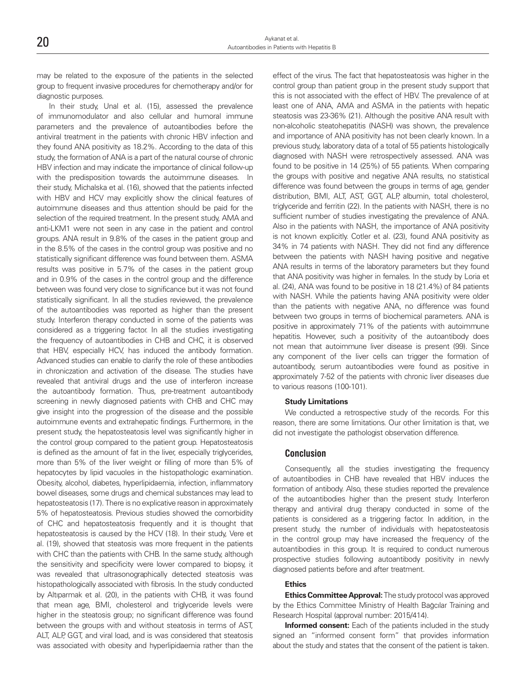| 20 | Avkanat et al.                              |  |
|----|---------------------------------------------|--|
|    | Autoantibodies in Patients with Hepatitis B |  |
|    |                                             |  |

may be related to the exposure of the patients in the selected group to frequent invasive procedures for chemotherapy and/or for diagnostic purposes.

In their study, Unal et al. (15), assessed the prevalence of immunomodulator and also cellular and humoral immune parameters and the prevalence of autoantibodies before the antiviral treatment in the patients with chronic HBV infection and they found ANA positivity as 18.2%. According to the data of this study, the formation of ANA is a part of the natural course of chronic HBV infection and may indicate the importance of clinical follow-up with the predisposition towards the autoimmune diseases. In their study, Michalska et al. (16), showed that the patients infected with HBV and HCV may explicitly show the clinical features of autoimmune diseases and thus attention should be paid for the selection of the required treatment. In the present study, AMA and anti-LKM1 were not seen in any case in the patient and control groups. ANA result in 9.8% of the cases in the patient group and in the 8.5% of the cases in the control group was positive and no statistically significant difference was found between them. ASMA results was positive in 5.7% of the cases in the patient group and in 0.9% of the cases in the control group and the difference between was found very close to significance but it was not found statistically significant. In all the studies reviewed, the prevalence of the autoantibodies was reported as higher than the present study. Interferon therapy conducted in some of the patients was considered as a triggering factor. In all the studies investigating the frequency of autoantibodies in CHB and CHC, it is observed that HBV, especially HCV, has induced the antibody formation. Advanced studies can enable to clarify the role of these antibodies in chroniczation and activation of the disease. The studies have revealed that antiviral drugs and the use of interferon increase the autoantibody formation. Thus, pre-treatment autoantibody screening in newly diagnosed patients with CHB and CHC may give insight into the progression of the disease and the possible autoimmune events and extrahepatic findings. Furthermore, in the present study, the hepatosteatosis level was significantly higher in the control group compared to the patient group. Hepatosteatosis is defined as the amount of fat in the liver, especially triglycerides, more than 5% of the liver weight or filling of more than 5% of hepatocytes by lipid vacuoles in the histopathologic examination. Obesity, alcohol, diabetes, hyperlipidaemia, infection, inflammatory bowel diseases, some drugs and chemical substances may lead to hepatosteatosis (17). There is no explicative reason in approximately 5% of hepatosteatosis. Previous studies showed the comorbidity of CHC and hepatosteatosis frequently and it is thought that hepatosteatosis is caused by the HCV (18). In their study, Vere et al. (19), showed that steatosis was more frequent in the patients with CHC than the patients with CHB. In the same study, although the sensitivity and specificity were lower compared to biopsy, it was revealed that ultrasonographically detected steatosis was histopathologically associated with fibrosis. In the study conducted by Altıparmak et al. (20), in the patients with CHB, it was found that mean age, BMI, cholesterol and triglyceride levels were higher in the steatosis group; no significant difference was found between the groups with and without steatosis in terms of AST, ALT, ALP, GGT, and viral load, and is was considered that steatosis was associated with obesity and hyperlipidaemia rather than the

effect of the virus. The fact that hepatosteatosis was higher in the control group than patient group in the present study support that this is not associated with the effect of HBV. The prevalence of at least one of ANA, AMA and ASMA in the patients with hepatic steatosis was 23-36% (21). Although the positive ANA result with non-alcoholic steatohepatitis (NASH) was shown, the prevalence and importance of ANA positivity has not been clearly known. In a previous study, laboratory data of a total of 55 patients histologically diagnosed with NASH were retrospectively assessed. ANA was found to be positive in 14 (25%) of 55 patients. When comparing the groups with positive and negative ANA results, no statistical difference was found between the groups in terms of age, gender distribution, BMI, ALT, AST, GGT, ALP, albumin, total cholesterol, triglyceride and ferritin (22). In the patients with NASH, there is no sufficient number of studies investigating the prevalence of ANA. Also in the patients with NASH, the importance of ANA positivity is not known explicitly. Cotler et al. (23), found ANA positivity as 34% in 74 patients with NASH. They did not find any difference between the patients with NASH having positive and negative ANA results in terms of the laboratory parameters but they found that ANA positivity was higher in females. In the study by Loria et al. (24), ANA was found to be positive in 18 (21.4%) of 84 patients with NASH. While the patients having ANA positivity were older than the patients with negative ANA, no difference was found between two groups in terms of biochemical parameters. ANA is positive in approximately 71% of the patients with autoimmune hepatitis. However, such a positivity of the autoantibody does not mean that autoimmune liver disease is present (99). Since any component of the liver cells can trigger the formation of autoantibody, serum autoantibodies were found as positive in approximately 7-52 of the patients with chronic liver diseases due to various reasons (100-101).

#### **Study Limitations**

We conducted a retrospective study of the records. For this reason, there are some limitations. Our other limitation is that, we did not investigate the pathologist observation difference.

#### **Conclusion**

Consequently, all the studies investigating the frequency of autoantibodies in CHB have revealed that HBV induces the formation of antibody. Also, these studies reported the prevalence of the autoantibodies higher than the present study. Interferon therapy and antiviral drug therapy conducted in some of the patients is considered as a triggering factor. In addition, in the present study, the number of individuals with hepatosteatosis in the control group may have increased the frequency of the autoantibodies in this group. It is required to conduct numerous prospective studies following autoantibody positivity in newly diagnosed patients before and after treatment.

#### **Ethics**

**Ethics Committee Approval:** The study protocol was approved by the Ethics Committee Ministry of Health Bağcılar Training and Research Hospital (approval number: 2015/414).

**Informed consent:** Each of the patients included in the study signed an "informed consent form" that provides information about the study and states that the consent of the patient is taken.